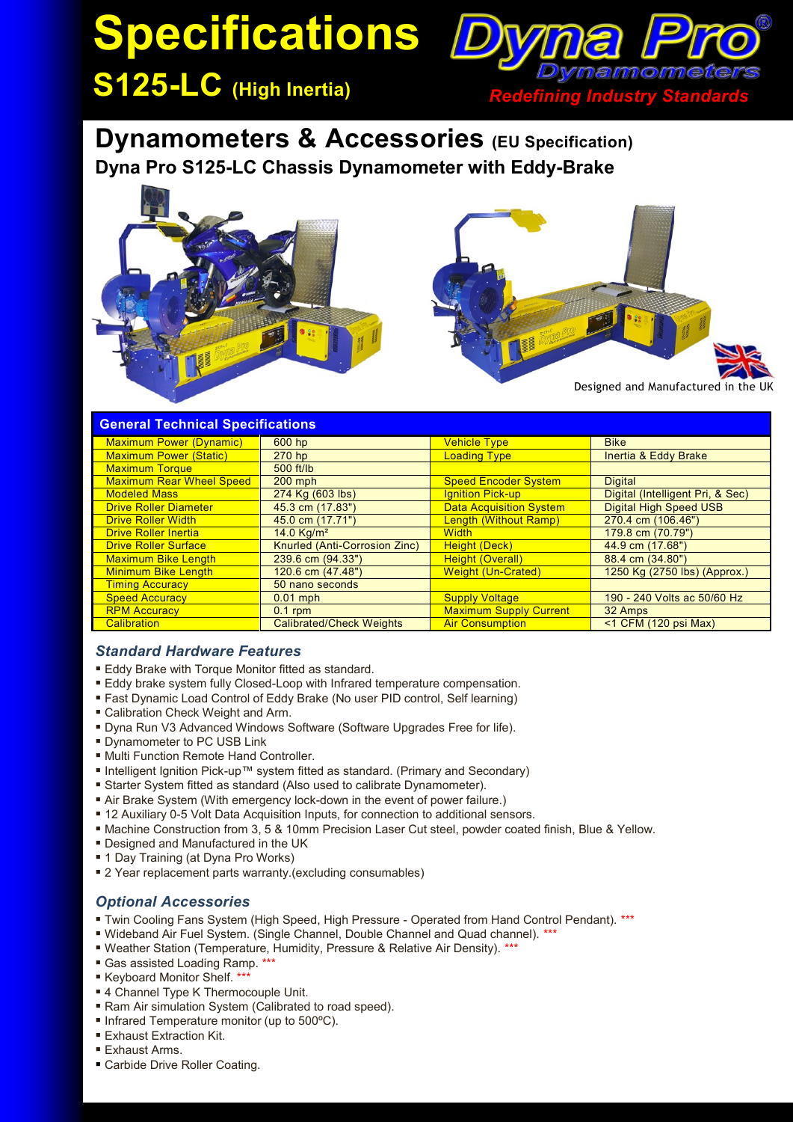# **Specifications**

**S125-LC (High Inertia)** *Redefining Industry Standards*

## **Dynamometers & Accessories (EU Specification) Dyna Pro S125-LC Chassis Dynamometer with Eddy-Brake**



| <b>General Technical Specifications</b> |                                 |                                |                                  |
|-----------------------------------------|---------------------------------|--------------------------------|----------------------------------|
| <b>Maximum Power (Dynamic)</b>          | 600 hp                          | <b>Vehicle Type</b>            | <b>Bike</b>                      |
| <b>Maximum Power (Static)</b>           | 270 <sub>hp</sub>               | <b>Loading Type</b>            | Inertia & Eddy Brake             |
| <b>Maximum Torque</b>                   | 500 ft/lb                       |                                |                                  |
| <b>Maximum Rear Wheel Speed</b>         | $200$ mph                       | <b>Speed Encoder System</b>    | <b>Digital</b>                   |
| <b>Modeled Mass</b>                     | 274 Kg (603 lbs)                | <b>Ignition Pick-up</b>        | Digital (Intelligent Pri, & Sec) |
| <b>Drive Roller Diameter</b>            | 45.3 cm (17.83")                | <b>Data Acquisition System</b> | <b>Digital High Speed USB</b>    |
| <b>Drive Roller Width</b>               | 45.0 cm (17.71")                | Length (Without Ramp)          | 270.4 cm (106.46")               |
| <b>Drive Roller Inertia</b>             | 14.0 $Ka/m2$                    | <b>Width</b>                   | 179.8 cm (70.79")                |
| <b>Drive Roller Surface</b>             | Knurled (Anti-Corrosion Zinc)   | Height (Deck)                  | 44.9 cm (17.68")                 |
| <b>Maximum Bike Length</b>              | $239.6$ cm $(94.33")$           | <b>Height (Overall)</b>        | 88.4 cm (34.80")                 |
| <b>Minimum Bike Length</b>              | 120.6 cm (47.48")               | <b>Weight (Un-Crated)</b>      | 1250 Kg (2750 lbs) (Approx.)     |
| <b>Timing Accuracy</b>                  | 50 nano seconds                 |                                |                                  |
| <b>Speed Accuracy</b>                   | $0.01$ mph                      | <b>Supply Voltage</b>          | 190 - 240 Volts ac 50/60 Hz      |
| <b>RPM Accuracy</b>                     | $0.1$ rpm                       | <b>Maximum Supply Current</b>  | 32 Amps                          |
| <b>Calibration</b>                      | <b>Calibrated/Check Weights</b> | <b>Air Consumption</b>         | $<$ 1 CFM (120 psi Max)          |

#### *Standard Hardware Features*

- **Eddy Brake with Torque Monitor fitted as standard.**
- Eddy brake system fully Closed-Loop with Infrared temperature compensation.
- Fast Dynamic Load Control of Eddy Brake (No user PID control, Self learning)
- Calibration Check Weight and Arm.
- Dyna Run V3 Advanced Windows Software (Software Upgrades Free for life).
- **Dynamometer to PC USB Link**
- **Multi Function Remote Hand Controller.**
- Intelligent Ignition Pick-up™ system fitted as standard. (Primary and Secondary)
- Starter System fitted as standard (Also used to calibrate Dynamometer).
- Air Brake System (With emergency lock-down in the event of power failure.)
- 12 Auxiliary 0-5 Volt Data Acquisition Inputs, for connection to additional sensors.
- Machine Construction from 3, 5 & 10mm Precision Laser Cut steel, powder coated finish, Blue & Yellow.
- **Designed and Manufactured in the UK**
- 1 Day Training (at Dyna Pro Works)
- 2 Year replacement parts warranty.(excluding consumables)

### *Optional Accessories*

- Twin Cooling Fans System (High Speed, High Pressure Operated from Hand Control Pendant). \*\*\*
- Wideband Air Fuel System. (Single Channel, Double Channel and Quad channel). \*\*\*
- Weather Station (Temperature, Humidity, Pressure & Relative Air Density). \*\*\*
- Gas assisted Loading Ramp. \*
- Keyboard Monitor Shelf. \*\*\*
- 4 Channel Type K Thermocouple Unit.
- Ram Air simulation System (Calibrated to road speed).
- Infrared Temperature monitor (up to 500°C).
- **Exhaust Extraction Kit.**
- **Exhaust Arms.**
- Carbide Drive Roller Coating.